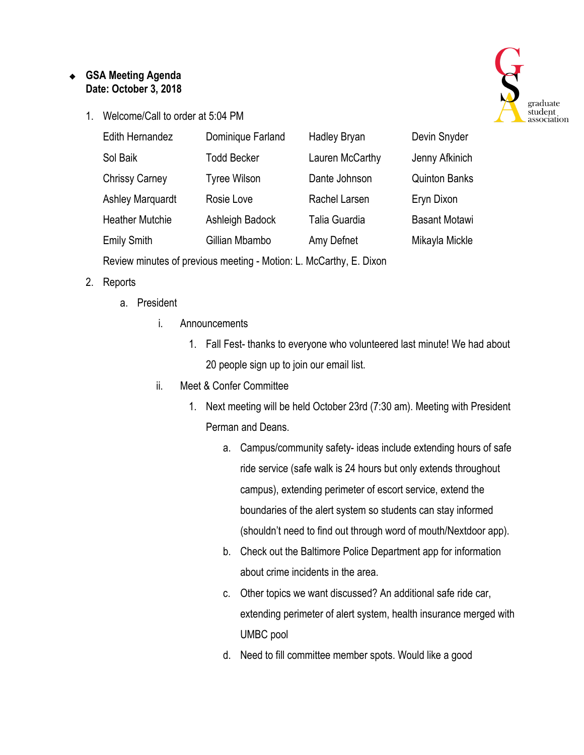## ❖ **GSA Meeting Agenda Date: October 3, 2018**

1. Welcome/Call to order at 5:04 PM



| <b>Edith Hernandez</b>  | Dominique Farland   | <b>Hadley Bryan</b> | Devin Snyder         |
|-------------------------|---------------------|---------------------|----------------------|
| Sol Baik                | <b>Todd Becker</b>  | Lauren McCarthy     | Jenny Afkinich       |
| <b>Chrissy Carney</b>   | <b>Tyree Wilson</b> | Dante Johnson       | <b>Quinton Banks</b> |
| <b>Ashley Marquardt</b> | Rosie Love          | Rachel Larsen       | Eryn Dixon           |
| <b>Heather Mutchie</b>  | Ashleigh Badock     | Talia Guardia       | <b>Basant Motawi</b> |
| <b>Emily Smith</b>      | Gillian Mbambo      | Amy Defnet          | Mikayla Mickle       |
|                         |                     |                     |                      |

Review minutes of previous meeting - Motion: L. McCarthy, E. Dixon

## 2. Reports

- a. President
	- i. Announcements
		- 1. Fall Fest- thanks to everyone who volunteered last minute! We had about 20 people sign up to join our email list.
	- ii. Meet & Confer Committee
		- 1. Next meeting will be held October 23rd (7:30 am). Meeting with President Perman and Deans.
			- a. Campus/community safety- ideas include extending hours of safe ride service (safe walk is 24 hours but only extends throughout campus), extending perimeter of escort service, extend the boundaries of the alert system so students can stay informed (shouldn't need to find out through word of mouth/Nextdoor app).
			- b. Check out the Baltimore Police Department app for information about crime incidents in the area.
			- c. Other topics we want discussed? An additional safe ride car, extending perimeter of alert system, health insurance merged with UMBC pool
			- d. Need to fill committee member spots. Would like a good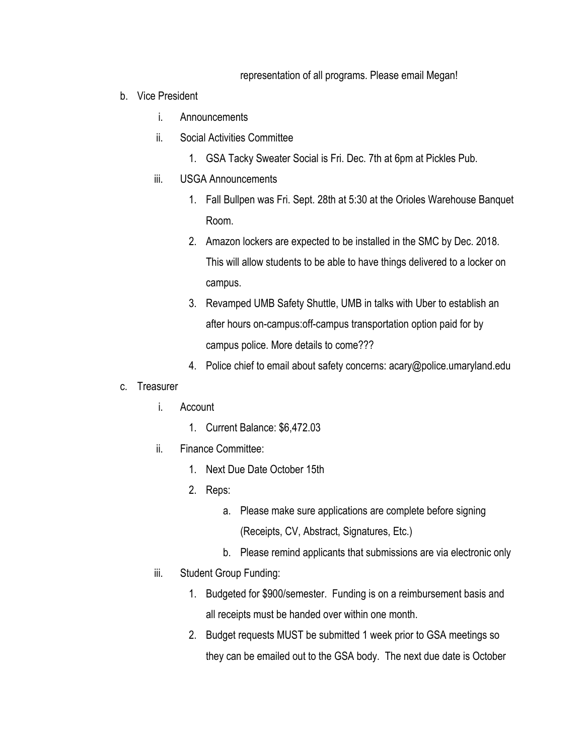#### representation of all programs. Please email Megan!

- b. Vice President
	- i. Announcements
	- ii. Social Activities Committee
		- 1. GSA Tacky Sweater Social is Fri. Dec. 7th at 6pm at Pickles Pub.
	- iii. USGA Announcements
		- 1. Fall Bullpen was Fri. Sept. 28th at 5:30 at the Orioles Warehouse Banquet Room.
		- 2. Amazon lockers are expected to be installed in the SMC by Dec. 2018. This will allow students to be able to have things delivered to a locker on campus.
		- 3. Revamped UMB Safety Shuttle, UMB in talks with Uber to establish an after hours on-campus:off-campus transportation option paid for by campus police. More details to come???
		- 4. Police chief to email about safety concerns: acary@police.umaryland.edu

### c. Treasurer

- i. Account
	- 1. Current Balance: \$6,472.03
- ii. Finance Committee:
	- 1. Next Due Date October 15th
	- 2. Reps:
		- a. Please make sure applications are complete before signing (Receipts, CV, Abstract, Signatures, Etc.)
		- b. Please remind applicants that submissions are via electronic only
- iii. Student Group Funding:
	- 1. Budgeted for \$900/semester. Funding is on a reimbursement basis and all receipts must be handed over within one month.
	- 2. Budget requests MUST be submitted 1 week prior to GSA meetings so they can be emailed out to the GSA body. The next due date is October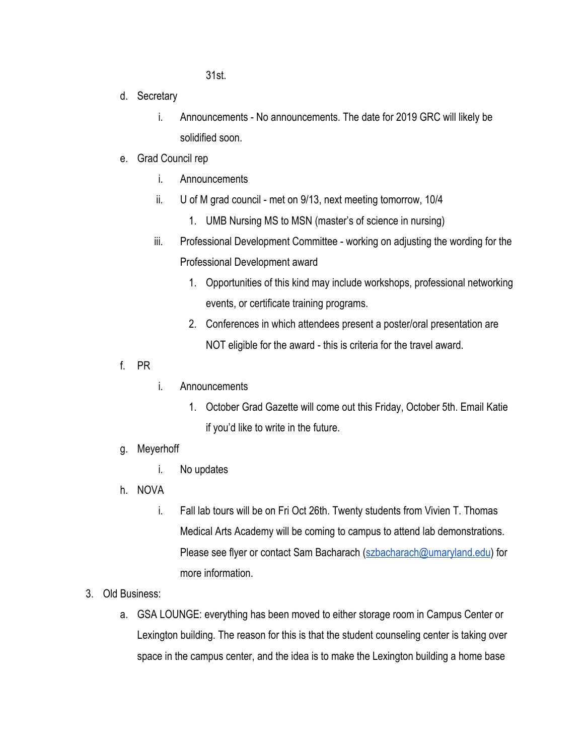31st.

- d. Secretary
	- i. Announcements No announcements. The date for 2019 GRC will likely be solidified soon.
- e. Grad Council rep
	- i. Announcements
	- ii. U of M grad council met on 9/13, next meeting tomorrow, 10/4
		- 1. UMB Nursing MS to MSN (master's of science in nursing)
	- iii. Professional Development Committee working on adjusting the wording for the Professional Development award
		- 1. Opportunities of this kind may include workshops, professional networking events, or certificate training programs.
		- 2. Conferences in which attendees present a poster/oral presentation are NOT eligible for the award - this is criteria for the travel award.
- f. PR
- i. Announcements
	- 1. October Grad Gazette will come out this Friday, October 5th. Email Katie if you'd like to write in the future.
- g. Meyerhoff
	- i. No updates
- h. NOVA
	- i. Fall lab tours will be on Fri Oct 26th. Twenty students from Vivien T. Thomas Medical Arts Academy will be coming to campus to attend lab demonstrations. Please see flyer or contact Sam Bacharach ([szbacharach@umaryland.edu](mailto:szbacharach@umaryland.edu)) for more information.
- 3. Old Business:
	- a. GSA LOUNGE: everything has been moved to either storage room in Campus Center or Lexington building. The reason for this is that the student counseling center is taking over space in the campus center, and the idea is to make the Lexington building a home base